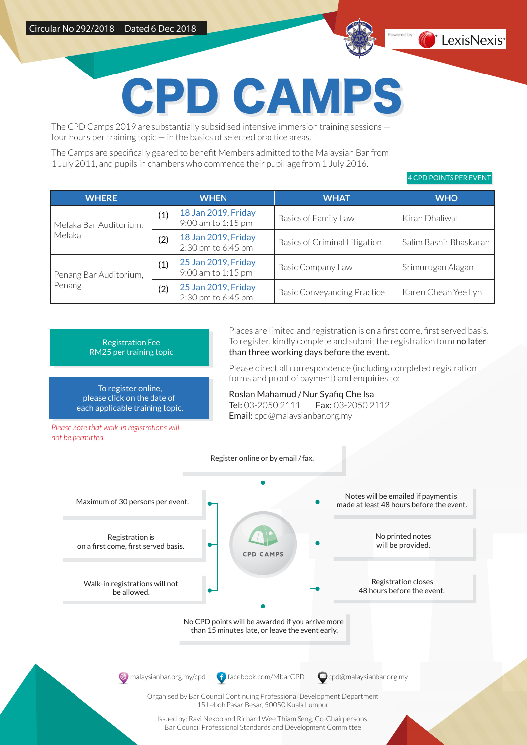

## PD CAM

The CPD Camps 2019 are substantially subsidised intensive immersion training sessions four hours per training topic — in the basics of selected practice areas.

The Camps are specifically geared to benefit Members admitted to the Malaysian Bar from 1 July 2011, and pupils in chambers who commence their pupillage from 1 July 2016.

4 CPD POINTS PER EVENT

| <b>WHERE</b>                     |     | <b>WHEN</b>                               | <b>WHAT</b>                          | <b>WHO</b>             |
|----------------------------------|-----|-------------------------------------------|--------------------------------------|------------------------|
| Melaka Bar Auditorium,<br>Melaka | (1) | 18 Jan 2019, Friday<br>9:00 am to 1:15 pm | Basics of Family Law                 | Kiran Dhaliwal         |
|                                  | (2) | 18 Jan 2019, Friday<br>2:30 pm to 6:45 pm | <b>Basics of Criminal Litigation</b> | Salim Bashir Bhaskaran |
| Penang Bar Auditorium,<br>Penang | (1) | 25 Jan 2019, Friday<br>9:00 am to 1:15 pm | <b>Basic Company Law</b>             | Srimurugan Alagan      |
|                                  | (2) | 25 Jan 2019, Friday<br>2:30 pm to 6:45 pm | <b>Basic Conveyancing Practice</b>   | Karen Cheah Yee Lyn    |

Registration Fee RM25 per training topic

To register online, please click on the date of each applicable training topic.

*Please note that walk-in registrations will* 

*not be permitted.*

Places are limited and registration is on a first come, first served basis. To register, kindly complete and submit the registration form no later than three working days before the event.

Please direct all correspondence (including completed registration forms and proof of payment) and enquiries to:

Roslan Mahamud / Nur Syafiq Che Isa Tel: 03-2050 2111 Fax: 03-2050 2112 Email: cpd@malaysianbar.org.my

Register online or by email / fax. Notes will be emailed if payment is Maximum of 30 persons per event. made at least 48 hours before the event. No printed notes Registration is will be provided. on a first come, first served basis. **CPD CAMPS** Registration closes Walk-in registrations will not 48 hours before the event. be allowed. No CPD points will be awarded if you arrive more than 15 minutes late, or leave the event early.  $\circledast$  [malaysianbar.org.my/cpd](http://www.malaysianbar.org.my/cpd/)  $\bullet$  [facebook.com/MbarCPD](https://www.facebook.com/mbarcpd)  $\bullet$  cpd@malaysianbar.org.my Organised by Bar Council Continuing Professional Development Department 15 Leboh Pasar Besar, 50050 Kuala Lumpur Issued by: Ravi Nekoo and Richard Wee Thiam Seng, Co-Chairpersons, Bar Council Professional Standards and Development Committee